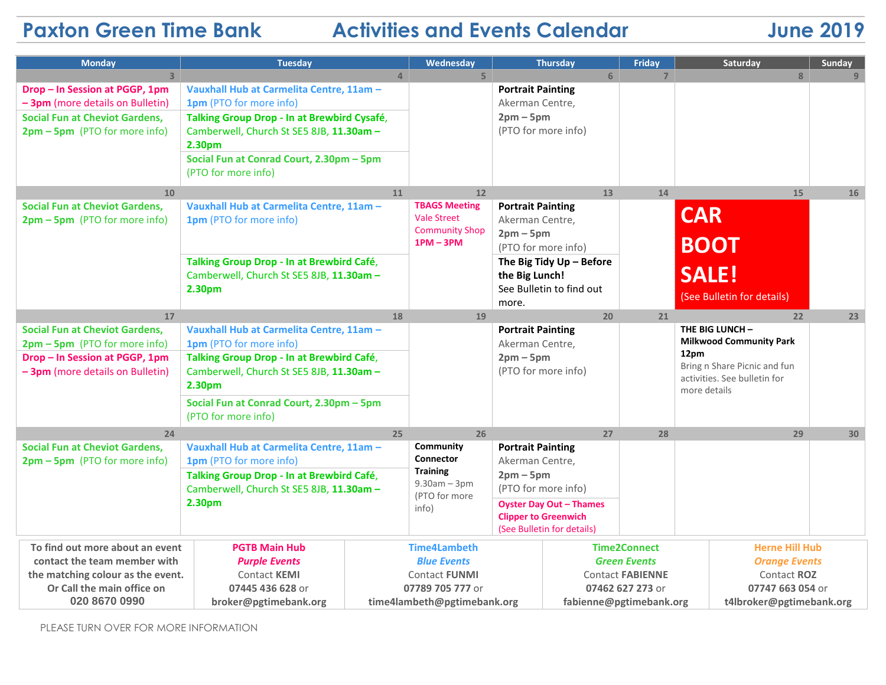# **Paxton Green Time Bank Activities and Events Calendar 5 June 2019**

| <b>Monday</b>                                            | <b>Tuesday</b>                                                                                                        |                     | Wednesday                                |                                                                                 | <b>Thursday</b>          | Friday                | Saturday                                          |                          | Sunday |
|----------------------------------------------------------|-----------------------------------------------------------------------------------------------------------------------|---------------------|------------------------------------------|---------------------------------------------------------------------------------|--------------------------|-----------------------|---------------------------------------------------|--------------------------|--------|
| $\overline{3}$                                           |                                                                                                                       | $\overline{4}$      | 5 <sup>1</sup>                           |                                                                                 | 6                        | $\overline{7}$        |                                                   | 8                        |        |
| Drop - In Session at PGGP, 1pm                           | Vauxhall Hub at Carmelita Centre, 11am -                                                                              |                     |                                          | <b>Portrait Painting</b>                                                        |                          |                       |                                                   |                          |        |
| - 3pm (more details on Bulletin)                         | 1pm (PTO for more info)                                                                                               |                     |                                          | Akerman Centre,                                                                 |                          |                       |                                                   |                          |        |
| <b>Social Fun at Cheviot Gardens,</b>                    | Talking Group Drop - In at Brewbird Cysafé,                                                                           |                     |                                          | $2pm-5pm$                                                                       |                          |                       |                                                   |                          |        |
| 2pm - 5pm (PTO for more info)                            | Camberwell, Church St SE5 8JB, 11.30am -                                                                              |                     |                                          |                                                                                 | (PTO for more info)      |                       |                                                   |                          |        |
|                                                          | 2.30pm                                                                                                                |                     |                                          |                                                                                 |                          |                       |                                                   |                          |        |
|                                                          | Social Fun at Conrad Court, 2.30pm - 5pm                                                                              |                     |                                          |                                                                                 |                          |                       |                                                   |                          |        |
|                                                          | (PTO for more info)                                                                                                   |                     |                                          |                                                                                 |                          |                       |                                                   |                          |        |
| 10                                                       |                                                                                                                       | 11                  | 12                                       |                                                                                 | 13                       | 14                    |                                                   | 15                       | 16     |
| <b>Social Fun at Cheviot Gardens,</b>                    | Vauxhall Hub at Carmelita Centre, 11am -                                                                              |                     | <b>TBAGS Meeting</b>                     | <b>Portrait Painting</b>                                                        |                          |                       |                                                   |                          |        |
| 2pm - 5pm (PTO for more info)                            | 1pm (PTO for more info)                                                                                               |                     | <b>Vale Street</b>                       | Akerman Centre,                                                                 |                          |                       | <b>CAR</b>                                        |                          |        |
|                                                          |                                                                                                                       |                     | <b>Community Shop</b><br>$1PM - 3PM$     | $2pm-5pm$                                                                       |                          |                       |                                                   |                          |        |
|                                                          |                                                                                                                       |                     |                                          |                                                                                 | (PTO for more info)      |                       | <b>BOOT</b>                                       |                          |        |
|                                                          | Talking Group Drop - In at Brewbird Café,                                                                             |                     |                                          | The Big Tidy $Up - Before$                                                      |                          |                       |                                                   |                          |        |
|                                                          | Camberwell, Church St SE5 8JB, 11.30am -                                                                              |                     |                                          | the Big Lunch!                                                                  |                          |                       | <b>SALE!</b>                                      |                          |        |
|                                                          | 2.30pm                                                                                                                |                     |                                          |                                                                                 | See Bulletin to find out |                       | (See Bulletin for details)                        |                          |        |
|                                                          |                                                                                                                       |                     |                                          | more.                                                                           |                          |                       |                                                   |                          |        |
| 17                                                       |                                                                                                                       | 18                  | 19                                       |                                                                                 | 20                       | 21                    |                                                   | 22                       | 23     |
| <b>Social Fun at Cheviot Gardens,</b>                    | Vauxhall Hub at Carmelita Centre, 11am -                                                                              |                     |                                          | <b>Portrait Painting</b><br>Akerman Centre,<br>$2pm-5pm$<br>(PTO for more info) |                          |                       | THE BIG LUNCH -<br><b>Milkwood Community Park</b> |                          |        |
| 2pm - 5pm (PTO for more info)                            | 1pm (PTO for more info)                                                                                               |                     |                                          |                                                                                 |                          |                       | 12pm                                              |                          |        |
| Drop - In Session at PGGP, 1pm                           | Talking Group Drop - In at Brewbird Café,                                                                             |                     |                                          |                                                                                 |                          |                       | Bring n Share Picnic and fun                      |                          |        |
| - 3pm (more details on Bulletin)                         | Camberwell, Church St SE5 8JB, 11.30am -<br>2.30pm<br>Social Fun at Conrad Court, 2.30pm - 5pm<br>(PTO for more info) |                     |                                          |                                                                                 |                          |                       | activities. See bulletin for<br>more details      |                          |        |
|                                                          |                                                                                                                       |                     |                                          |                                                                                 |                          |                       |                                                   |                          |        |
|                                                          |                                                                                                                       |                     |                                          |                                                                                 |                          |                       |                                                   |                          |        |
|                                                          |                                                                                                                       |                     |                                          |                                                                                 |                          |                       |                                                   |                          |        |
| 24                                                       |                                                                                                                       | 25                  | 26                                       |                                                                                 | 27                       | 28                    |                                                   | 29                       | 30     |
| <b>Social Fun at Cheviot Gardens,</b>                    | Vauxhall Hub at Carmelita Centre, 11am -<br>1pm (PTO for more info)<br>Talking Group Drop - In at Brewbird Café,      |                     | Community                                | <b>Portrait Painting</b>                                                        |                          |                       |                                                   |                          |        |
| 2pm - 5pm (PTO for more info)                            |                                                                                                                       |                     | Connector<br><b>Training</b>             | Akerman Centre,<br>$2pm-5pm$                                                    |                          |                       |                                                   |                          |        |
|                                                          |                                                                                                                       |                     | $9.30am - 3pm$<br>(PTO for more<br>info) |                                                                                 |                          |                       |                                                   |                          |        |
| Camberwell, Church St SE5 8JB, 11.30am -<br>2.30pm       |                                                                                                                       |                     |                                          | (PTO for more info)                                                             |                          |                       |                                                   |                          |        |
|                                                          |                                                                                                                       |                     |                                          | <b>Oyster Day Out - Thames</b>                                                  |                          |                       |                                                   |                          |        |
|                                                          |                                                                                                                       |                     |                                          | <b>Clipper to Greenwich</b><br>(See Bulletin for details)                       |                          |                       |                                                   |                          |        |
|                                                          |                                                                                                                       |                     |                                          |                                                                                 |                          |                       |                                                   |                          |        |
| To find out more about an event                          | <b>PGTB Main Hub</b>                                                                                                  | <b>Time4Lambeth</b> |                                          | <b>Time2Connect</b>                                                             |                          | <b>Herne Hill Hub</b> |                                                   |                          |        |
| contact the team member with                             | <b>Purple Events</b>                                                                                                  | <b>Blue Events</b>  |                                          | <b>Green Events</b>                                                             |                          |                       | <b>Orange Events</b>                              |                          |        |
| the matching colour as the event.<br><b>Contact KEMI</b> |                                                                                                                       |                     | <b>Contact FUNMI</b>                     |                                                                                 | <b>Contact FABIENNE</b>  |                       |                                                   | Contact ROZ              |        |
| Or Call the main office on<br>07445 436 628 or           |                                                                                                                       |                     | 07789 705 777 or                         |                                                                                 | 07462 627 273 or         |                       |                                                   | 07747 663 054 or         |        |
| 020 8670 0990<br>broker@pgtimebank.org                   |                                                                                                                       |                     | time4lambeth@pgtimebank.org              |                                                                                 | fabienne@pgtimebank.org  |                       |                                                   | t4lbroker@pgtimebank.org |        |

PLEASE TURN OVER FOR MORE INFORMATION